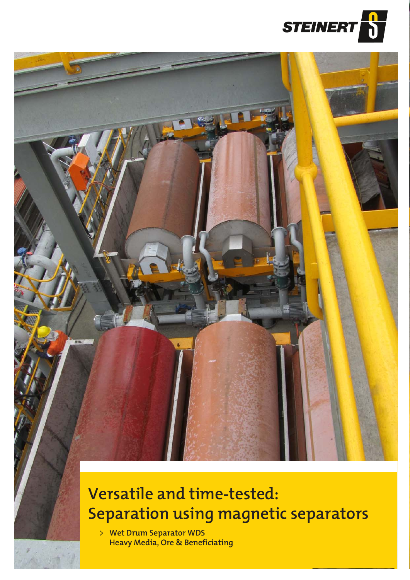



## **Versatile and time-tested: Separation using magnetic separators**

**Wet Drum Separator WDS Heavy Media, Ore & Beneficiating**